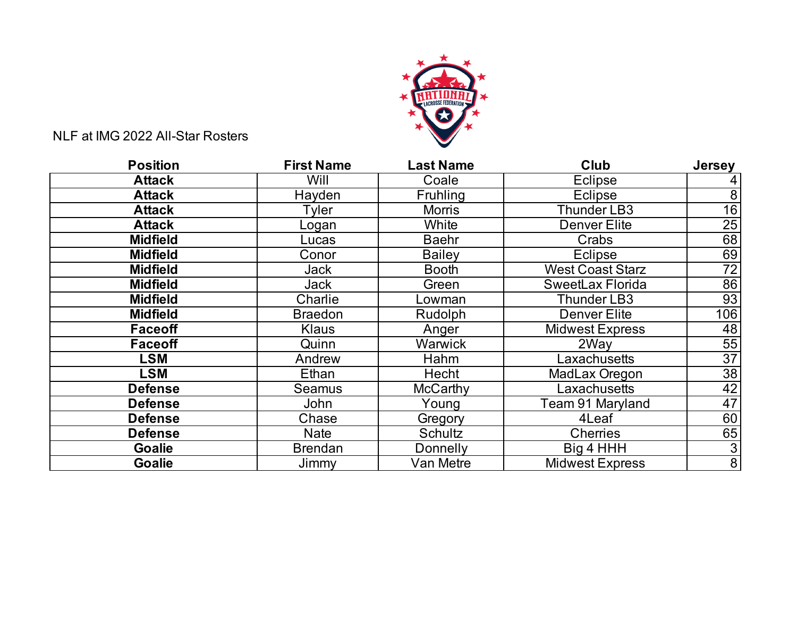

NLF at IMG 2022 All-Star Rosters

| <b>Position</b> | <b>First Name</b> | <b>Last Name</b> | Club                   | <b>Jersey</b>   |
|-----------------|-------------------|------------------|------------------------|-----------------|
| <b>Attack</b>   | Will              | Coale            | Eclipse                | 4               |
| <b>Attack</b>   | Hayden            | <b>Fruhling</b>  | Eclipse                | $\bf 8$         |
| <b>Attack</b>   | Tyler             | <b>Morris</b>    | Thunder LB3            | 16              |
| <b>Attack</b>   | _ogan             | White            | <b>Denver Elite</b>    | 25              |
| <b>Midfield</b> | Lucas             | <b>Baehr</b>     | Crabs                  | 68              |
| <b>Midfield</b> | Conor             | <b>Bailey</b>    | Eclipse                | 69              |
| <b>Midfield</b> | Jack              | <b>Booth</b>     | West Coast Starz       | 72              |
| <b>Midfield</b> | Jack              | Green            | SweetLax Florida       | 86              |
| <b>Midfield</b> | Charlie           | Lowman           | <b>Thunder LB3</b>     | 93              |
| <b>Midfield</b> | <b>Braedon</b>    | <b>Rudolph</b>   | <b>Denver Elite</b>    | 106             |
| Faceoff         | <b>Klaus</b>      | Anger            | <b>Midwest Express</b> | 48              |
| <b>Faceoff</b>  | Quinn             | Warwick          | 2Way                   | 55              |
| LSM             | Andrew            | Hahm             | Laxachusetts           | $\overline{37}$ |
| <b>LSM</b>      | Ethan             | Hecht            | MadLax Oregon          | 38              |
| <b>Defense</b>  | Seamus            | <b>McCarthy</b>  | Laxachusetts           | 42              |
| <b>Defense</b>  | John              | Young            | Team 91 Maryland       | 47              |
| <b>Defense</b>  | Chase             | Gregory          | 4Leaf                  | 60              |
| <b>Defense</b>  | <b>Nate</b>       | Schultz          | Cherries               | 65              |
| <b>Goalie</b>   | <b>Brendan</b>    | Donnelly         | Big 4 HHH              | $\overline{3}$  |
| <b>Goalie</b>   | Jimmy             | Van Metre        | <b>Midwest Express</b> | $\bf 8$         |